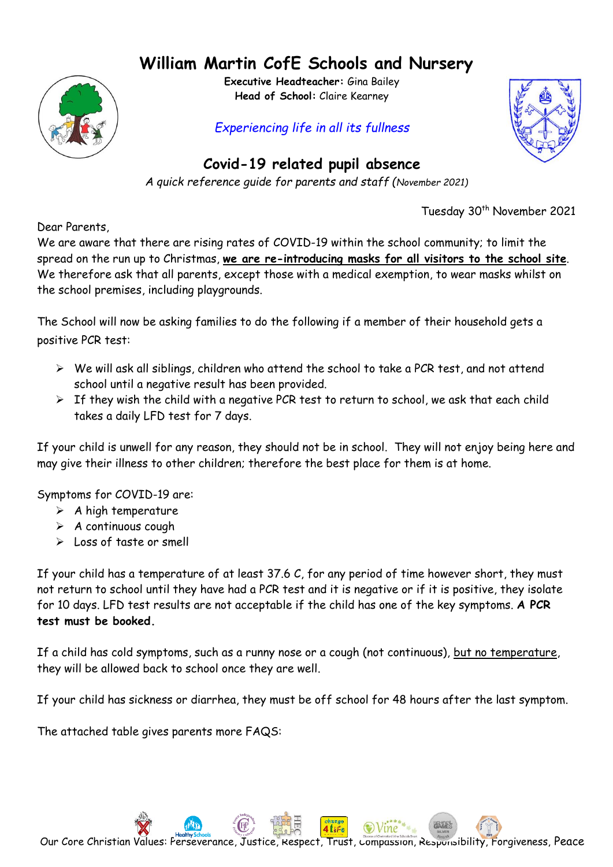## **William Martin CofE Schools and Nursery**



**Executive Headteacher:** Gina Bailey **Head of School:** Claire Kearney

## *Experiencing life in all its fullness*



## **Covid-19 related pupil absence**

*A quick reference guide for parents and staff (November 2021)*

Tuesday 30<sup>th</sup> November 2021

Dear Parents,

We are aware that there are rising rates of COVID-19 within the school community; to limit the spread on the run up to Christmas, **we are re-introducing masks for all visitors to the school site**. We therefore ask that all parents, except those with a medical exemption, to wear masks whilst on the school premises, including playgrounds.

The School will now be asking families to do the following if a member of their household gets a positive PCR test:

- ➢ We will ask all siblings, children who attend the school to take a PCR test, and not attend school until a negative result has been provided.
- $\triangleright$  If they wish the child with a negative PCR test to return to school, we ask that each child takes a daily LFD test for 7 days.

If your child is unwell for any reason, they should not be in school. They will not enjoy being here and may give their illness to other children; therefore the best place for them is at home.

Symptoms for COVID-19 are:

- $\triangleright$  A high temperature
- ➢ A continuous cough
- ➢ Loss of taste or smell

If your child has a temperature of at least 37.6 C, for any period of time however short, they must not return to school until they have had a PCR test and it is negative or if it is positive, they isolate for 10 days. LFD test results are not acceptable if the child has one of the key symptoms. **A PCR test must be booked.**

If a child has cold symptoms, such as a runny nose or a cough (not continuous), but no temperature, they will be allowed back to school once they are well.

If your child has sickness or diarrhea, they must be off school for 48 hours after the last symptom.

The attached table gives parents more FAQS: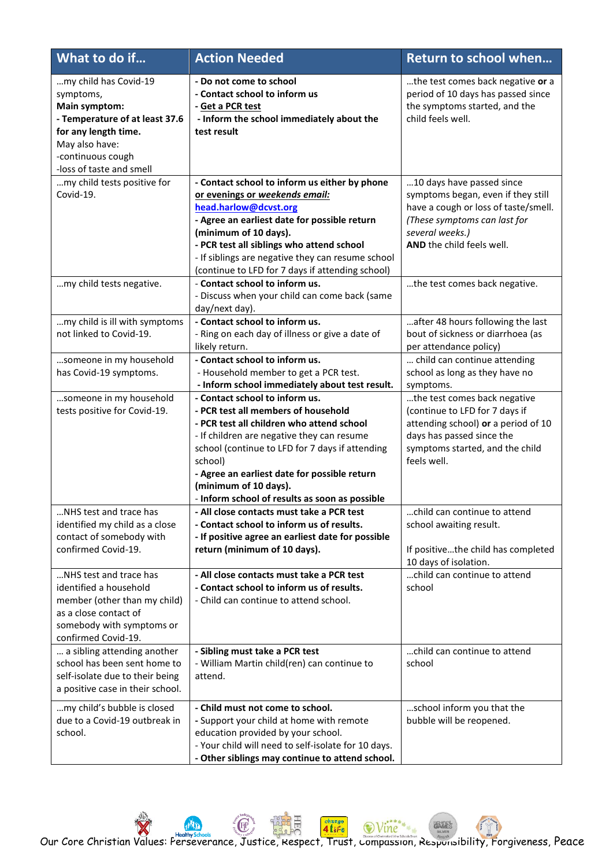| What to do if                                                                                                                                                                    | <b>Action Needed</b>                                                                                                                                                                                                                                                                                                                                      | <b>Return to school when</b>                                                                                                                                                            |
|----------------------------------------------------------------------------------------------------------------------------------------------------------------------------------|-----------------------------------------------------------------------------------------------------------------------------------------------------------------------------------------------------------------------------------------------------------------------------------------------------------------------------------------------------------|-----------------------------------------------------------------------------------------------------------------------------------------------------------------------------------------|
| my child has Covid-19<br>symptoms,<br>Main symptom:<br>- Temperature of at least 37.6<br>for any length time.<br>May also have:<br>-continuous cough<br>-loss of taste and smell | - Do not come to school<br>- Contact school to inform us<br>- Get a PCR test<br>- Inform the school immediately about the<br>test result                                                                                                                                                                                                                  | the test comes back negative or a<br>period of 10 days has passed since<br>the symptoms started, and the<br>child feels well.                                                           |
| my child tests positive for<br>Covid-19.                                                                                                                                         | - Contact school to inform us either by phone<br>or evenings or weekends email:<br>head.harlow@dcvst.org<br>- Agree an earliest date for possible return<br>(minimum of 10 days).<br>- PCR test all siblings who attend school<br>- If siblings are negative they can resume school<br>(continue to LFD for 7 days if attending school)                   | 10 days have passed since<br>symptoms began, even if they still<br>have a cough or loss of taste/smell.<br>(These symptoms can last for<br>several weeks.)<br>AND the child feels well. |
| my child tests negative.                                                                                                                                                         | - Contact school to inform us.<br>- Discuss when your child can come back (same<br>day/next day).                                                                                                                                                                                                                                                         | the test comes back negative.                                                                                                                                                           |
| my child is ill with symptoms<br>not linked to Covid-19.                                                                                                                         | - Contact school to inform us.<br>- Ring on each day of illness or give a date of<br>likely return.                                                                                                                                                                                                                                                       | after 48 hours following the last<br>bout of sickness or diarrhoea (as<br>per attendance policy)                                                                                        |
| someone in my household<br>has Covid-19 symptoms.                                                                                                                                | - Contact school to inform us.<br>- Household member to get a PCR test.<br>- Inform school immediately about test result.                                                                                                                                                                                                                                 | child can continue attending<br>school as long as they have no<br>symptoms.                                                                                                             |
| someone in my household<br>tests positive for Covid-19.                                                                                                                          | - Contact school to inform us.<br>- PCR test all members of household<br>- PCR test all children who attend school<br>- If children are negative they can resume<br>school (continue to LFD for 7 days if attending<br>school)<br>- Agree an earliest date for possible return<br>(minimum of 10 days).<br>- Inform school of results as soon as possible | the test comes back negative<br>(continue to LFD for 7 days if<br>attending school) or a period of 10<br>days has passed since the<br>symptoms started, and the child<br>feels well.    |
| NHS test and trace has<br>identified my child as a close<br>contact of somebody with<br>confirmed Covid-19.                                                                      | - All close contacts must take a PCR test<br>- Contact school to inform us of results.<br>- If positive agree an earliest date for possible<br>return (minimum of 10 days).                                                                                                                                                                               | child can continue to attend<br>school awaiting result.<br>If positivethe child has completed<br>10 days of isolation.                                                                  |
| NHS test and trace has<br>identified a household<br>member (other than my child)<br>as a close contact of<br>somebody with symptoms or<br>confirmed Covid-19.                    | - All close contacts must take a PCR test<br>- Contact school to inform us of results.<br>- Child can continue to attend school.                                                                                                                                                                                                                          | child can continue to attend<br>school                                                                                                                                                  |
| a sibling attending another<br>school has been sent home to<br>self-isolate due to their being<br>a positive case in their school.                                               | - Sibling must take a PCR test<br>- William Martin child(ren) can continue to<br>attend.                                                                                                                                                                                                                                                                  | child can continue to attend<br>school                                                                                                                                                  |
| my child's bubble is closed<br>due to a Covid-19 outbreak in<br>school.                                                                                                          | - Child must not come to school.<br>- Support your child at home with remote<br>education provided by your school.<br>- Your child will need to self-isolate for 10 days.<br>- Other siblings may continue to attend school.                                                                                                                              | school inform you that the<br>bubble will be reopened.                                                                                                                                  |